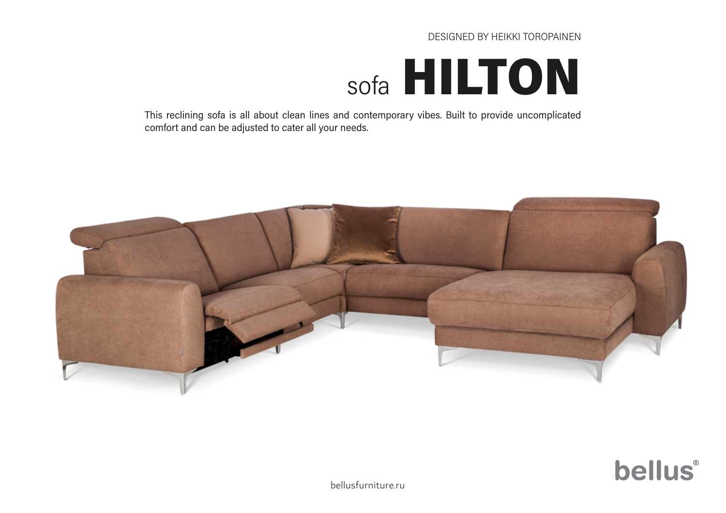#### DESIGNED BY HEIKKI TOROPAINEN

# sofa [HILTON](https://bellusfurniture.ru/product/hilton/)

This reclining sofa is all about clean lines and contemporary vibes. Built to provide uncomplicated comfort and can be adjusted to cater all your needs.





[bellusfurniture.ru](https://bellusfurniture.ru/)